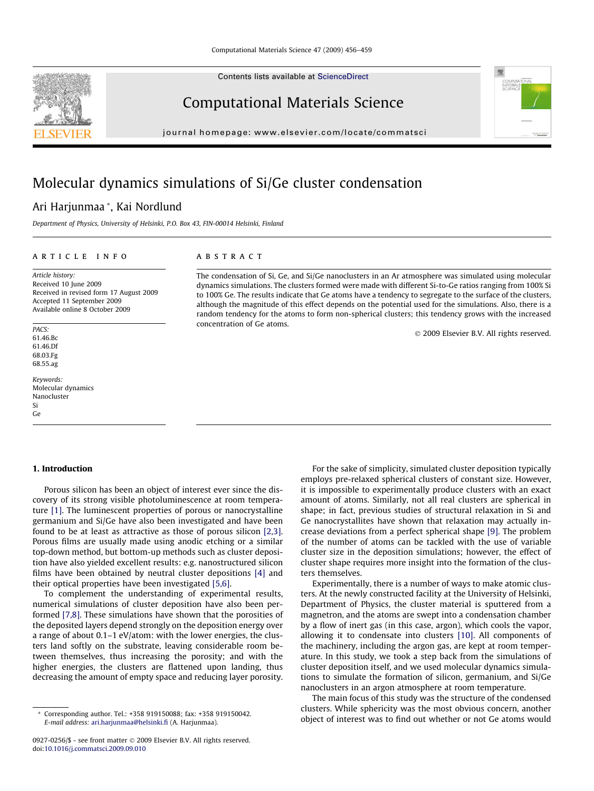Contents lists available at [ScienceDirect](http://www.sciencedirect.com/science/journal/09270256)

Computational Materials Science

journal homepage: [www.elsevier.com/locate/commatsci](http://www.elsevier.com/locate/commatsci)

# Molecular dynamics simulations of Si/Ge cluster condensation

# Ari Harjunmaa \*, Kai Nordlund

Department of Physics, University of Helsinki, P.O. Box 43, FIN-00014 Helsinki, Finland

# article info

Article history: Received 10 June 2009 Received in revised form 17 August 2009 Accepted 11 September 2009 Available online 8 October 2009

PACS: 61.46.Bc 61.46.Df 68.03.Fg 68.55.ag

Keywords: Molecular dynamics Nanocluster Si Ge

#### **ABSTRACT**

The condensation of Si, Ge, and Si/Ge nanoclusters in an Ar atmosphere was simulated using molecular dynamics simulations. The clusters formed were made with different Si-to-Ge ratios ranging from 100% Si to 100% Ge. The results indicate that Ge atoms have a tendency to segregate to the surface of the clusters, although the magnitude of this effect depends on the potential used for the simulations. Also, there is a random tendency for the atoms to form non-spherical clusters; this tendency grows with the increased concentration of Ge atoms.

- 2009 Elsevier B.V. All rights reserved.

#### 1. Introduction

Porous silicon has been an object of interest ever since the discovery of its strong visible photoluminescence at room temperature [\[1\]](#page-3-0). The luminescent properties of porous or nanocrystalline germanium and Si/Ge have also been investigated and have been found to be at least as attractive as those of porous silicon [\[2,3\].](#page-3-0) Porous films are usually made using anodic etching or a similar top-down method, but bottom-up methods such as cluster deposition have also yielded excellent results: e.g. nanostructured silicon films have been obtained by neutral cluster depositions [\[4\]](#page-3-0) and their optical properties have been investigated [\[5,6\]](#page-3-0).

To complement the understanding of experimental results, numerical simulations of cluster deposition have also been performed [\[7,8\]](#page-3-0). These simulations have shown that the porosities of the deposited layers depend strongly on the deposition energy over a range of about 0.1–1 eV/atom: with the lower energies, the clusters land softly on the substrate, leaving considerable room between themselves, thus increasing the porosity; and with the higher energies, the clusters are flattened upon landing, thus decreasing the amount of empty space and reducing layer porosity.

For the sake of simplicity, simulated cluster deposition typically employs pre-relaxed spherical clusters of constant size. However, it is impossible to experimentally produce clusters with an exact amount of atoms. Similarly, not all real clusters are spherical in shape; in fact, previous studies of structural relaxation in Si and Ge nanocrystallites have shown that relaxation may actually increase deviations from a perfect spherical shape [\[9\].](#page-3-0) The problem of the number of atoms can be tackled with the use of variable cluster size in the deposition simulations; however, the effect of cluster shape requires more insight into the formation of the clusters themselves.

Experimentally, there is a number of ways to make atomic clusters. At the newly constructed facility at the University of Helsinki, Department of Physics, the cluster material is sputtered from a magnetron, and the atoms are swept into a condensation chamber by a flow of inert gas (in this case, argon), which cools the vapor, allowing it to condensate into clusters [\[10\].](#page-3-0) All components of the machinery, including the argon gas, are kept at room temperature. In this study, we took a step back from the simulations of cluster deposition itself, and we used molecular dynamics simulations to simulate the formation of silicon, germanium, and Si/Ge nanoclusters in an argon atmosphere at room temperature.

The main focus of this study was the structure of the condensed clusters. While sphericity was the most obvious concern, another object of interest was to find out whether or not Ge atoms would





<sup>\*</sup> Corresponding author. Tel.: +358 919150088; fax: +358 919150042. E-mail address: [ari.harjunmaa@helsinki.fi](mailto:ari.harjunmaa@helsinki.fi) (A. Harjunmaa).

<sup>0927-0256/\$ -</sup> see front matter © 2009 Elsevier B.V. All rights reserved. doi:[10.1016/j.commatsci.2009.09.010](http://dx.doi.org/10.1016/j.commatsci.2009.09.010)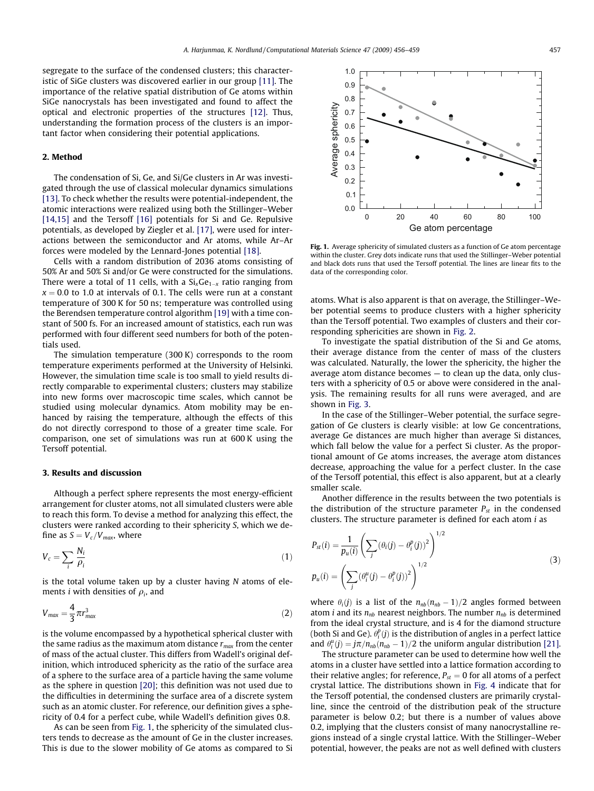segregate to the surface of the condensed clusters; this characteristic of SiGe clusters was discovered earlier in our group [\[11\]](#page-3-0). The importance of the relative spatial distribution of Ge atoms within SiGe nanocrystals has been investigated and found to affect the optical and electronic properties of the structures [\[12\].](#page-3-0) Thus, understanding the formation process of the clusters is an important factor when considering their potential applications.

### 2. Method

The condensation of Si, Ge, and Si/Ge clusters in Ar was investigated through the use of classical molecular dynamics simulations [\[13\].](#page-3-0) To check whether the results were potential-independent, the atomic interactions were realized using both the Stillinger–Weber [\[14,15\]](#page-3-0) and the Tersoff [\[16\]](#page-3-0) potentials for Si and Ge. Repulsive potentials, as developed by Ziegler et al. [\[17\]](#page-3-0), were used for interactions between the semiconductor and Ar atoms, while Ar–Ar forces were modeled by the Lennard-Jones potential [\[18\]](#page-3-0).

Cells with a random distribution of 2036 atoms consisting of 50% Ar and 50% Si and/or Ge were constructed for the simulations. There were a total of 11 cells, with a  $\text{Si}_{\text{x}}\text{Ge}_{1-\text{x}}$  ratio ranging from  $x = 0.0$  to 1.0 at intervals of 0.1. The cells were run at a constant temperature of 300 K for 50 ns; temperature was controlled using the Berendsen temperature control algorithm [\[19\]](#page-3-0) with a time constant of 500 fs. For an increased amount of statistics, each run was performed with four different seed numbers for both of the potentials used.

The simulation temperature (300 K) corresponds to the room temperature experiments performed at the University of Helsinki. However, the simulation time scale is too small to yield results directly comparable to experimental clusters; clusters may stabilize into new forms over macroscopic time scales, which cannot be studied using molecular dynamics. Atom mobility may be enhanced by raising the temperature, although the effects of this do not directly correspond to those of a greater time scale. For comparison, one set of simulations was run at 600 K using the Tersoff potential.

#### 3. Results and discussion

Although a perfect sphere represents the most energy-efficient arrangement for cluster atoms, not all simulated clusters were able to reach this form. To devise a method for analyzing this effect, the clusters were ranked according to their sphericity S, which we define as  $S = V_c/V_{max}$ , where

$$
V_c = \sum_i \frac{N_i}{\rho_i} \tag{1}
$$

is the total volume taken up by a cluster having  $N$  atoms of elements *i* with densities of  $\rho_i$ , and

$$
V_{\text{max}} = \frac{4}{3} \pi r_{\text{max}}^3 \tag{2}
$$

is the volume encompassed by a hypothetical spherical cluster with the same radius as the maximum atom distance  $r_{max}$  from the center of mass of the actual cluster. This differs from Wadell's original definition, which introduced sphericity as the ratio of the surface area of a sphere to the surface area of a particle having the same volume as the sphere in question [\[20\];](#page-3-0) this definition was not used due to the difficulties in determining the surface area of a discrete system such as an atomic cluster. For reference, our definition gives a sphericity of 0.4 for a perfect cube, while Wadell's definition gives 0.8.

As can be seen from Fig. 1, the sphericity of the simulated clusters tends to decrease as the amount of Ge in the cluster increases. This is due to the slower mobility of Ge atoms as compared to Si



Fig. 1. Average sphericity of simulated clusters as a function of Ge atom percentage within the cluster. Grey dots indicate runs that used the Stillinger–Weber potential and black dots runs that used the Tersoff potential. The lines are linear fits to the data of the corresponding color.

atoms. What is also apparent is that on average, the Stillinger–Weber potential seems to produce clusters with a higher sphericity than the Tersoff potential. Two examples of clusters and their corresponding sphericities are shown in [Fig. 2](#page-2-0).

To investigate the spatial distribution of the Si and Ge atoms, their average distance from the center of mass of the clusters was calculated. Naturally, the lower the sphericity, the higher the average atom distance becomes — to clean up the data, only clusters with a sphericity of 0.5 or above were considered in the analysis. The remaining results for all runs were averaged, and are shown in [Fig. 3.](#page-2-0)

In the case of the Stillinger–Weber potential, the surface segregation of Ge clusters is clearly visible: at low Ge concentrations, average Ge distances are much higher than average Si distances, which fall below the value for a perfect Si cluster. As the proportional amount of Ge atoms increases, the average atom distances decrease, approaching the value for a perfect cluster. In the case of the Tersoff potential, this effect is also apparent, but at a clearly smaller scale.

Another difference in the results between the two potentials is the distribution of the structure parameter  $P_{st}$  in the condensed clusters. The structure parameter is defined for each atom  $i$  as

$$
P_{st}(i) = \frac{1}{p_u(i)} \left( \sum_j (\theta_i(j) - \theta_i^p(j))^2 \right)^{1/2}
$$
  

$$
p_u(i) = \left( \sum_j (\theta_i^u(j) - \theta_i^p(j))^2 \right)^{1/2}
$$
 (3)

where  $\theta_i(j)$  is a list of the  $n_{nb}(n_{nb} - 1)/2$  angles formed between atom *i* and its  $n_{nb}$  nearest neighbors. The number  $n_{nb}$  is determined from the ideal crystal structure, and is 4 for the diamond structure (both Si and Ge).  $\theta_i^p(j)$  is the distribution of angles in a perfect lattice and  $\theta_i^u(j) = j\pi/n_{nb}(n_{nb} - 1)/2$  the uniform angular distribution [\[21\].](#page-3-0)

The structure parameter can be used to determine how well the atoms in a cluster have settled into a lattice formation according to their relative angles; for reference,  $P_{st} = 0$  for all atoms of a perfect crystal lattice. The distributions shown in [Fig. 4](#page-2-0) indicate that for the Tersoff potential, the condensed clusters are primarily crystalline, since the centroid of the distribution peak of the structure parameter is below 0.2; but there is a number of values above 0.2, implying that the clusters consist of many nanocrystalline regions instead of a single crystal lattice. With the Stillinger–Weber potential, however, the peaks are not as well defined with clusters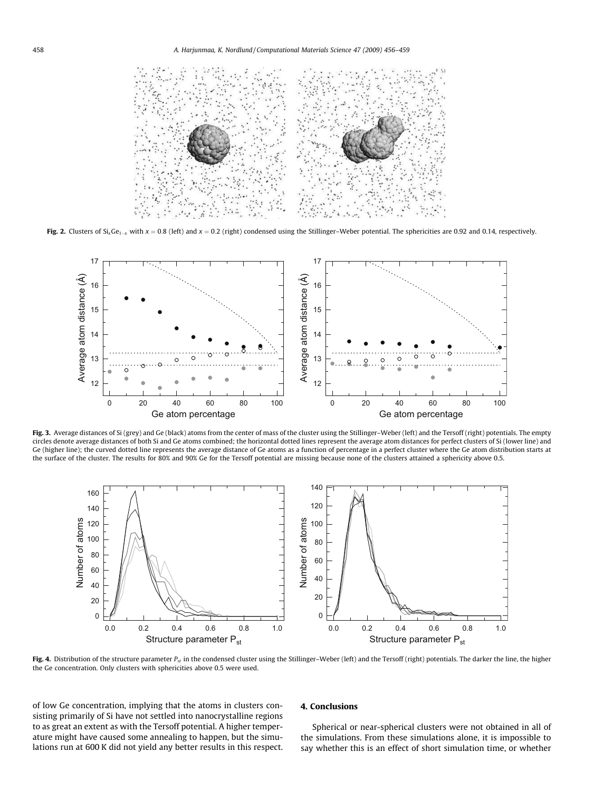<span id="page-2-0"></span>

**Fig. 2.** Clusters of Si<sub>x</sub>Ge<sub>1-x</sub> with  $x = 0.8$  (left) and  $x = 0.2$  (right) condensed using the Stillinger–Weber potential. The sphericities are 0.92 and 0.14, respectively.



Fig. 3. Average distances of Si (grey) and Ge (black) atoms from the center of mass of the cluster using the Stillinger-Weber (left) and the Tersoff (right) potentials. The empty circles denote average distances of both Si and Ge atoms combined; the horizontal dotted lines represent the average atom distances for perfect clusters of Si (lower line) and Ge (higher line); the curved dotted line represents the average distance of Ge atoms as a function of percentage in a perfect cluster where the Ge atom distribution starts at the surface of the cluster. The results for 80% and 90% Ge for the Tersoff potential are missing because none of the clusters attained a sphericity above 0.5.



Fig. 4. Distribution of the structure parameter  $P_{st}$  in the condensed cluster using the Stillinger-Weber (left) and the Tersoff (right) potentials. The darker the line, the higher the Ge concentration. Only clusters with sphericities above 0.5 were used.

of low Ge concentration, implying that the atoms in clusters consisting primarily of Si have not settled into nanocrystalline regions to as great an extent as with the Tersoff potential. A higher temperature might have caused some annealing to happen, but the simulations run at 600 K did not yield any better results in this respect.

# 4. Conclusions

Spherical or near-spherical clusters were not obtained in all of the simulations. From these simulations alone, it is impossible to say whether this is an effect of short simulation time, or whether